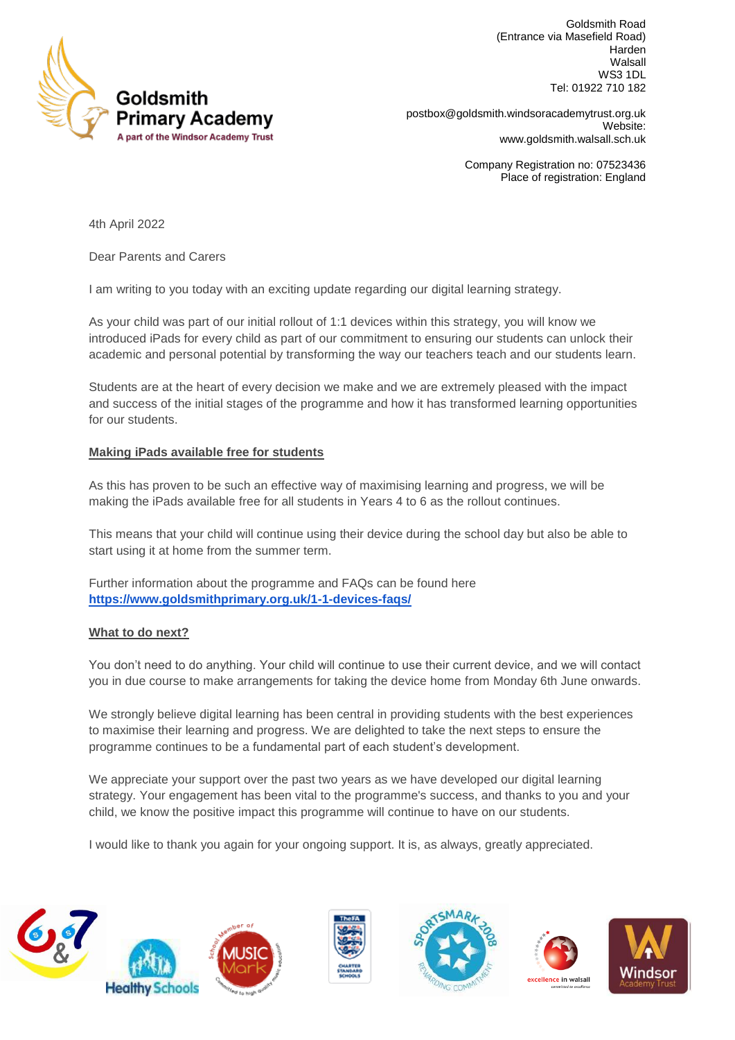

Goldsmith Road (Entrance via Masefield Road) Harden Walsall WS3 1DL Tel: 01922 710 182

**Primary Academy Example 3 and Septem** [postbox@goldsmith.windsoracademytrust.org.uk](mailto:postbox@goldsmith.windsoracademytrust.org.uk) Website: [www.goldsmith.walsall.sch.uk](http://www.goldsmith.walsall.sch.uk/)

> Company Registration no: 07523436 Place of registration: England

4th April 2022

Dear Parents and Carers

I am writing to you today with an exciting update regarding our digital learning strategy.

As your child was part of our initial rollout of 1:1 devices within this strategy, you will know we introduced iPads for every child as part of our commitment to ensuring our students can unlock their academic and personal potential by transforming the way our teachers teach and our students learn.

Students are at the heart of every decision we make and we are extremely pleased with the impact and success of the initial stages of the programme and how it has transformed learning opportunities for our students.

## **Making iPads available free for students**

As this has proven to be such an effective way of maximising learning and progress, we will be making the iPads available free for all students in Years 4 to 6 as the rollout continues.

This means that your child will continue using their device during the school day but also be able to start using it at home from the summer term.

Further information about the programme and FAQs can be found here **<https://www.goldsmithprimary.org.uk/1-1-devices-faqs/>**

## **What to do next?**

You don't need to do anything. Your child will continue to use their current device, and we will contact you in due course to make arrangements for taking the device home from Monday 6th June onwards.

We strongly believe digital learning has been central in providing students with the best experiences to maximise their learning and progress. We are delighted to take the next steps to ensure the programme continues to be a fundamental part of each student's development.

We appreciate your support over the past two years as we have developed our digital learning strategy. Your engagement has been vital to the programme's success, and thanks to you and your child, we know the positive impact this programme will continue to have on our students.

I would like to thank you again for your ongoing support. It is, as always, greatly appreciated.